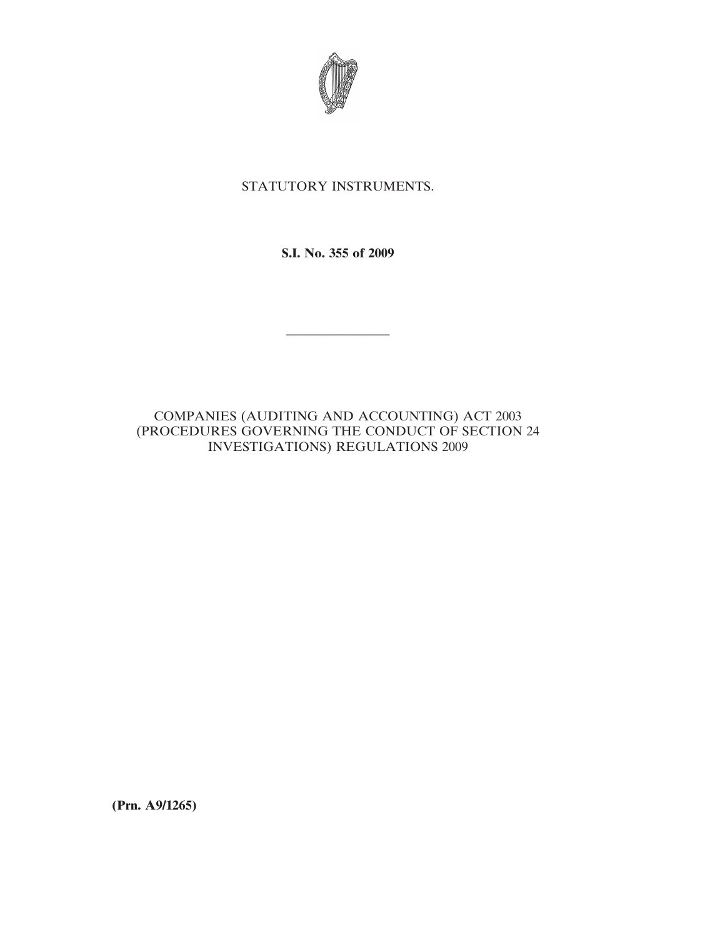

# STATUTORY INSTRUMENTS.

**S.I. No. 355 of 2009**

————————

# COMPANIES (AUDITING AND ACCOUNTING) ACT 2003 (PROCEDURES GOVERNING THE CONDUCT OF SECTION 24 INVESTIGATIONS) REGULATIONS 2009

**(Prn. A9/1265)**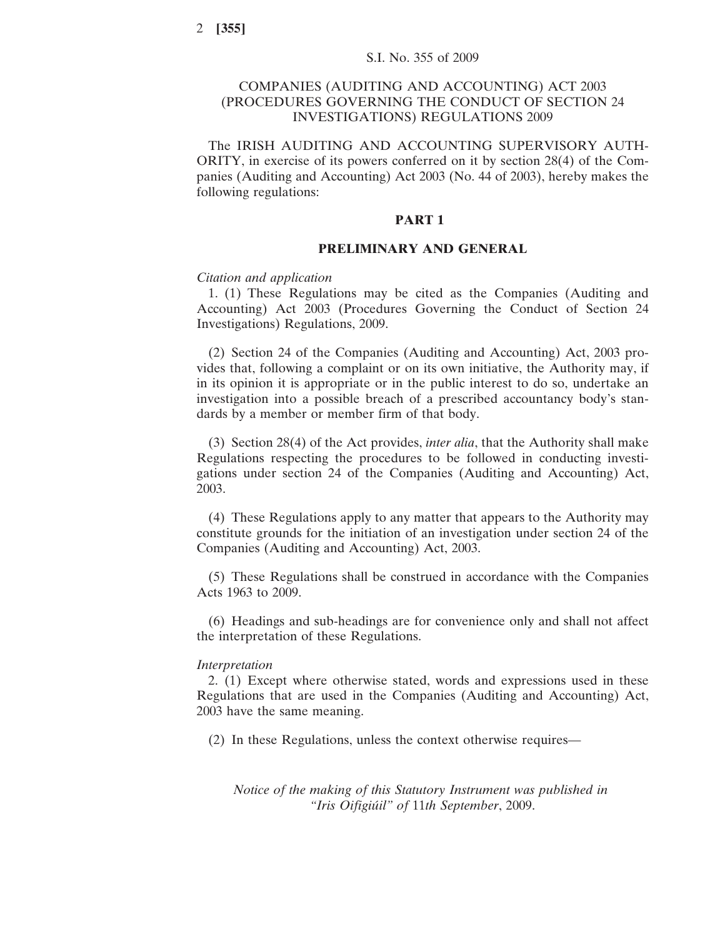## COMPANIES (AUDITING AND ACCOUNTING) ACT 2003 (PROCEDURES GOVERNING THE CONDUCT OF SECTION 24 INVESTIGATIONS) REGULATIONS 2009

The IRISH AUDITING AND ACCOUNTING SUPERVISORY AUTH-ORITY, in exercise of its powers conferred on it by section 28(4) of the Companies (Auditing and Accounting) Act 2003 (No. 44 of 2003), hereby makes the following regulations:

## **PART 1**

## **PRELIMINARY AND GENERAL**

#### *Citation and application*

1. (1) These Regulations may be cited as the Companies (Auditing and Accounting) Act 2003 (Procedures Governing the Conduct of Section 24 Investigations) Regulations, 2009.

(2) Section 24 of the Companies (Auditing and Accounting) Act, 2003 provides that, following a complaint or on its own initiative, the Authority may, if in its opinion it is appropriate or in the public interest to do so, undertake an investigation into a possible breach of a prescribed accountancy body's standards by a member or member firm of that body.

(3) Section 28(4) of the Act provides, *inter alia*, that the Authority shall make Regulations respecting the procedures to be followed in conducting investigations under section 24 of the Companies (Auditing and Accounting) Act, 2003.

(4) These Regulations apply to any matter that appears to the Authority may constitute grounds for the initiation of an investigation under section 24 of the Companies (Auditing and Accounting) Act, 2003.

(5) These Regulations shall be construed in accordance with the Companies Acts 1963 to 2009.

(6) Headings and sub-headings are for convenience only and shall not affect the interpretation of these Regulations.

### *Interpretation*

2. (1) Except where otherwise stated, words and expressions used in these Regulations that are used in the Companies (Auditing and Accounting) Act, 2003 have the same meaning.

(2) In these Regulations, unless the context otherwise requires—

*Notice of the making of this Statutory Instrument was published in "Iris Oifigiu´il" of* 11*th September*, 2009.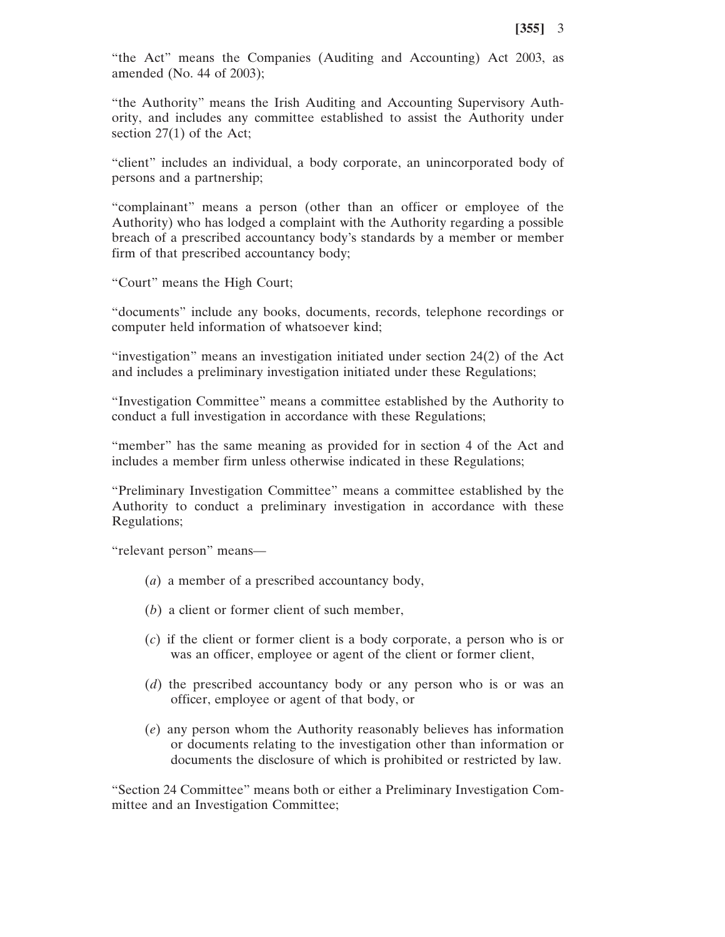"the Act" means the Companies (Auditing and Accounting) Act 2003, as amended (No. 44 of 2003);

"the Authority" means the Irish Auditing and Accounting Supervisory Authority, and includes any committee established to assist the Authority under section 27(1) of the Act;

"client" includes an individual, a body corporate, an unincorporated body of persons and a partnership;

"complainant" means a person (other than an officer or employee of the Authority) who has lodged a complaint with the Authority regarding a possible breach of a prescribed accountancy body's standards by a member or member firm of that prescribed accountancy body;

"Court" means the High Court;

"documents" include any books, documents, records, telephone recordings or computer held information of whatsoever kind;

"investigation" means an investigation initiated under section 24(2) of the Act and includes a preliminary investigation initiated under these Regulations;

"Investigation Committee" means a committee established by the Authority to conduct a full investigation in accordance with these Regulations;

"member" has the same meaning as provided for in section 4 of the Act and includes a member firm unless otherwise indicated in these Regulations;

"Preliminary Investigation Committee" means a committee established by the Authority to conduct a preliminary investigation in accordance with these Regulations;

"relevant person" means—

- (*a*) a member of a prescribed accountancy body,
- (*b*) a client or former client of such member,
- (*c*) if the client or former client is a body corporate, a person who is or was an officer, employee or agent of the client or former client,
- (*d*) the prescribed accountancy body or any person who is or was an officer, employee or agent of that body, or
- (*e*) any person whom the Authority reasonably believes has information or documents relating to the investigation other than information or documents the disclosure of which is prohibited or restricted by law.

"Section 24 Committee" means both or either a Preliminary Investigation Committee and an Investigation Committee;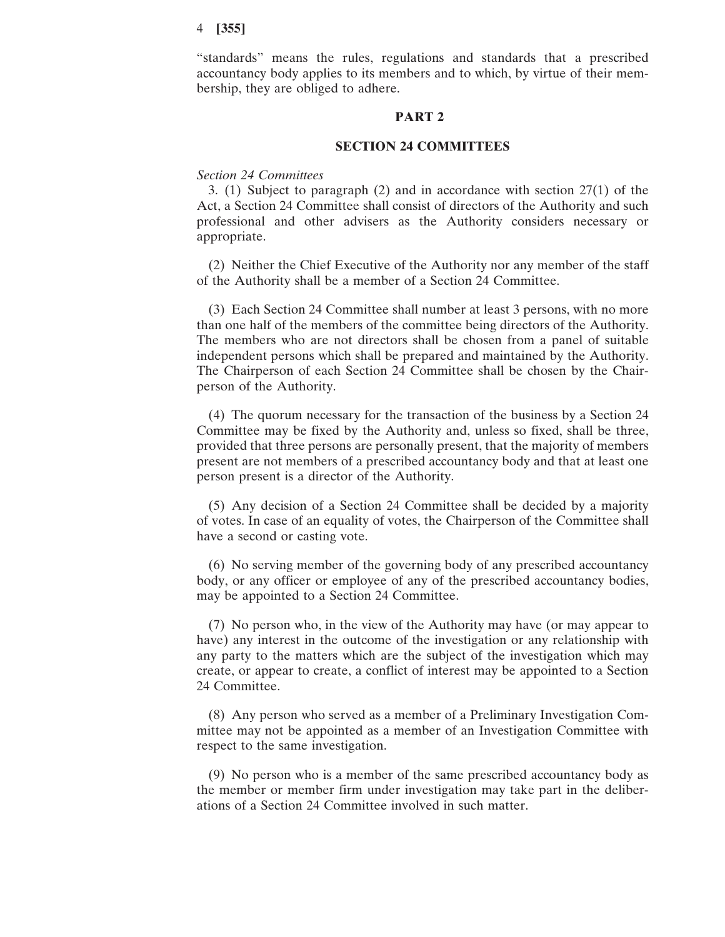"standards" means the rules, regulations and standards that a prescribed accountancy body applies to its members and to which, by virtue of their membership, they are obliged to adhere.

## **PART 2**

#### **SECTION 24 COMMITTEES**

## *Section 24 Committees*

3. (1) Subject to paragraph (2) and in accordance with section 27(1) of the Act, a Section 24 Committee shall consist of directors of the Authority and such professional and other advisers as the Authority considers necessary or appropriate.

(2) Neither the Chief Executive of the Authority nor any member of the staff of the Authority shall be a member of a Section 24 Committee.

(3) Each Section 24 Committee shall number at least 3 persons, with no more than one half of the members of the committee being directors of the Authority. The members who are not directors shall be chosen from a panel of suitable independent persons which shall be prepared and maintained by the Authority. The Chairperson of each Section 24 Committee shall be chosen by the Chairperson of the Authority.

(4) The quorum necessary for the transaction of the business by a Section 24 Committee may be fixed by the Authority and, unless so fixed, shall be three, provided that three persons are personally present, that the majority of members present are not members of a prescribed accountancy body and that at least one person present is a director of the Authority.

(5) Any decision of a Section 24 Committee shall be decided by a majority of votes. In case of an equality of votes, the Chairperson of the Committee shall have a second or casting vote.

(6) No serving member of the governing body of any prescribed accountancy body, or any officer or employee of any of the prescribed accountancy bodies, may be appointed to a Section 24 Committee.

(7) No person who, in the view of the Authority may have (or may appear to have) any interest in the outcome of the investigation or any relationship with any party to the matters which are the subject of the investigation which may create, or appear to create, a conflict of interest may be appointed to a Section 24 Committee.

(8) Any person who served as a member of a Preliminary Investigation Committee may not be appointed as a member of an Investigation Committee with respect to the same investigation.

(9) No person who is a member of the same prescribed accountancy body as the member or member firm under investigation may take part in the deliberations of a Section 24 Committee involved in such matter.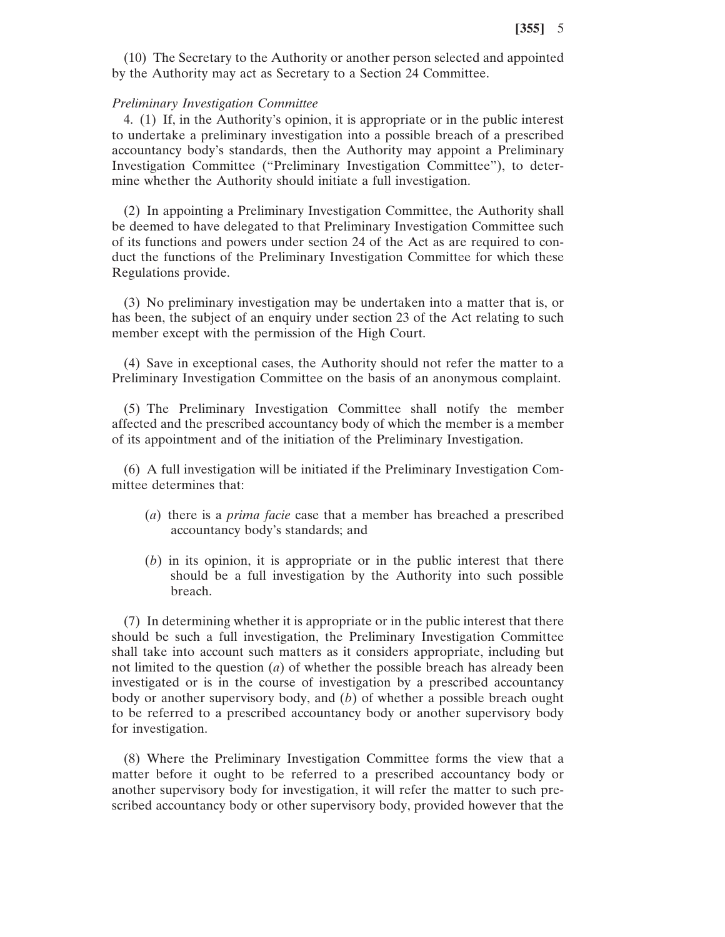(10) The Secretary to the Authority or another person selected and appointed by the Authority may act as Secretary to a Section 24 Committee.

#### *Preliminary Investigation Committee*

4. (1) If, in the Authority's opinion, it is appropriate or in the public interest to undertake a preliminary investigation into a possible breach of a prescribed accountancy body's standards, then the Authority may appoint a Preliminary Investigation Committee ("Preliminary Investigation Committee"), to determine whether the Authority should initiate a full investigation.

(2) In appointing a Preliminary Investigation Committee, the Authority shall be deemed to have delegated to that Preliminary Investigation Committee such of its functions and powers under section 24 of the Act as are required to conduct the functions of the Preliminary Investigation Committee for which these Regulations provide.

(3) No preliminary investigation may be undertaken into a matter that is, or has been, the subject of an enquiry under section 23 of the Act relating to such member except with the permission of the High Court.

(4) Save in exceptional cases, the Authority should not refer the matter to a Preliminary Investigation Committee on the basis of an anonymous complaint.

(5) The Preliminary Investigation Committee shall notify the member affected and the prescribed accountancy body of which the member is a member of its appointment and of the initiation of the Preliminary Investigation.

(6) A full investigation will be initiated if the Preliminary Investigation Committee determines that:

- (*a*) there is a *prima facie* case that a member has breached a prescribed accountancy body's standards; and
- (*b*) in its opinion, it is appropriate or in the public interest that there should be a full investigation by the Authority into such possible breach.

(7) In determining whether it is appropriate or in the public interest that there should be such a full investigation, the Preliminary Investigation Committee shall take into account such matters as it considers appropriate, including but not limited to the question (*a*) of whether the possible breach has already been investigated or is in the course of investigation by a prescribed accountancy body or another supervisory body, and (*b*) of whether a possible breach ought to be referred to a prescribed accountancy body or another supervisory body for investigation.

(8) Where the Preliminary Investigation Committee forms the view that a matter before it ought to be referred to a prescribed accountancy body or another supervisory body for investigation, it will refer the matter to such prescribed accountancy body or other supervisory body, provided however that the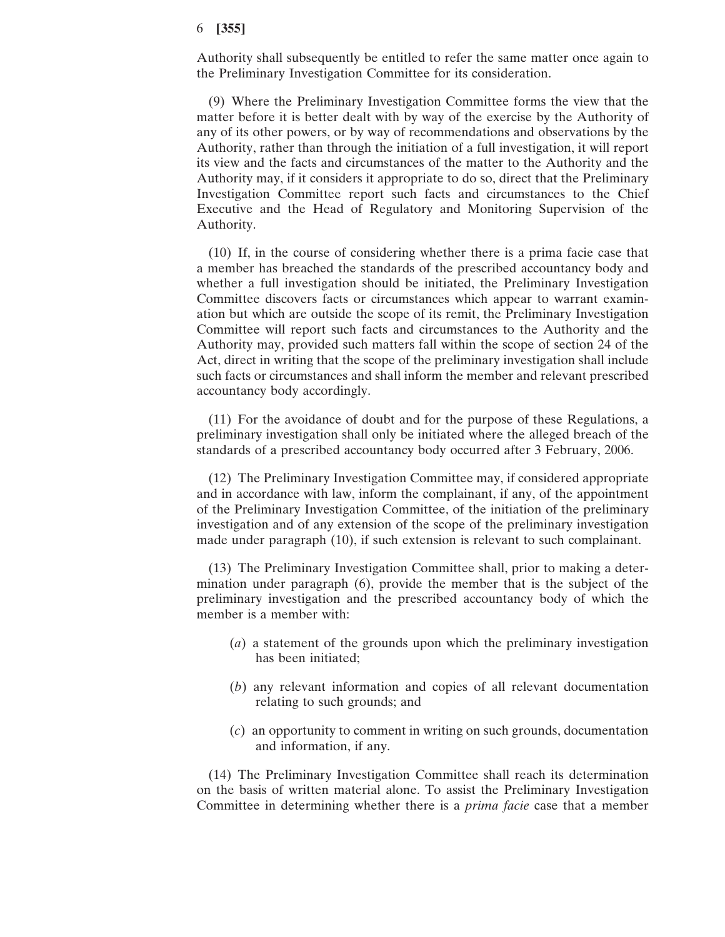Authority shall subsequently be entitled to refer the same matter once again to the Preliminary Investigation Committee for its consideration.

(9) Where the Preliminary Investigation Committee forms the view that the matter before it is better dealt with by way of the exercise by the Authority of any of its other powers, or by way of recommendations and observations by the Authority, rather than through the initiation of a full investigation, it will report its view and the facts and circumstances of the matter to the Authority and the Authority may, if it considers it appropriate to do so, direct that the Preliminary Investigation Committee report such facts and circumstances to the Chief Executive and the Head of Regulatory and Monitoring Supervision of the Authority.

(10) If, in the course of considering whether there is a prima facie case that a member has breached the standards of the prescribed accountancy body and whether a full investigation should be initiated, the Preliminary Investigation Committee discovers facts or circumstances which appear to warrant examination but which are outside the scope of its remit, the Preliminary Investigation Committee will report such facts and circumstances to the Authority and the Authority may, provided such matters fall within the scope of section 24 of the Act, direct in writing that the scope of the preliminary investigation shall include such facts or circumstances and shall inform the member and relevant prescribed accountancy body accordingly.

(11) For the avoidance of doubt and for the purpose of these Regulations, a preliminary investigation shall only be initiated where the alleged breach of the standards of a prescribed accountancy body occurred after 3 February, 2006.

(12) The Preliminary Investigation Committee may, if considered appropriate and in accordance with law, inform the complainant, if any, of the appointment of the Preliminary Investigation Committee, of the initiation of the preliminary investigation and of any extension of the scope of the preliminary investigation made under paragraph (10), if such extension is relevant to such complainant.

(13) The Preliminary Investigation Committee shall, prior to making a determination under paragraph (6), provide the member that is the subject of the preliminary investigation and the prescribed accountancy body of which the member is a member with:

- (*a*) a statement of the grounds upon which the preliminary investigation has been initiated;
- (*b*) any relevant information and copies of all relevant documentation relating to such grounds; and
- (*c*) an opportunity to comment in writing on such grounds, documentation and information, if any.

(14) The Preliminary Investigation Committee shall reach its determination on the basis of written material alone. To assist the Preliminary Investigation Committee in determining whether there is a *prima facie* case that a member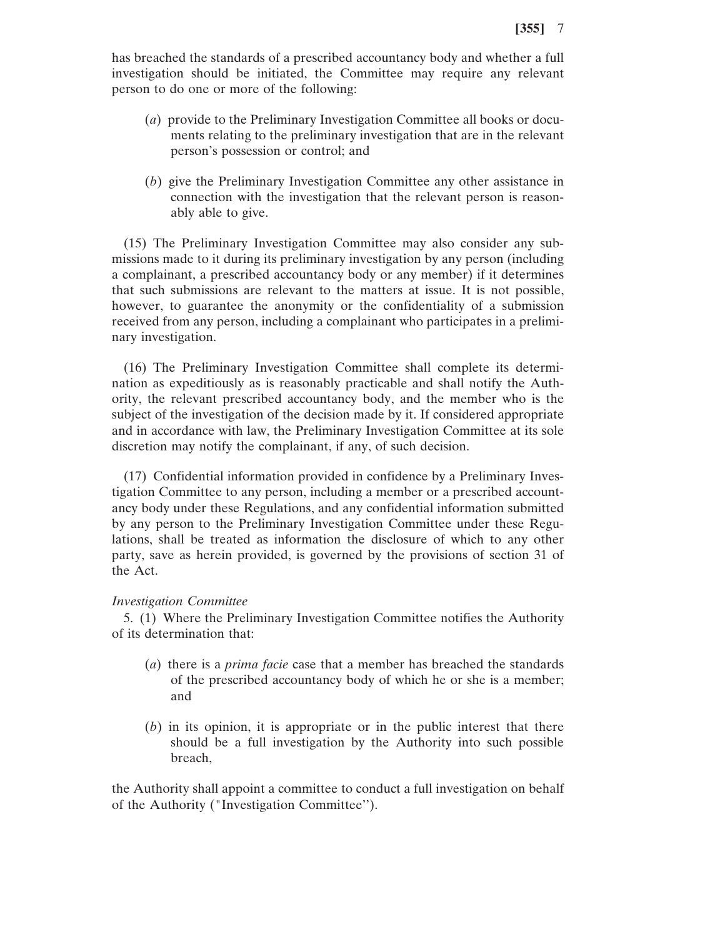has breached the standards of a prescribed accountancy body and whether a full investigation should be initiated, the Committee may require any relevant person to do one or more of the following:

- (*a*) provide to the Preliminary Investigation Committee all books or documents relating to the preliminary investigation that are in the relevant person's possession or control; and
- (*b*) give the Preliminary Investigation Committee any other assistance in connection with the investigation that the relevant person is reasonably able to give.

(15) The Preliminary Investigation Committee may also consider any submissions made to it during its preliminary investigation by any person (including a complainant, a prescribed accountancy body or any member) if it determines that such submissions are relevant to the matters at issue. It is not possible, however, to guarantee the anonymity or the confidentiality of a submission received from any person, including a complainant who participates in a preliminary investigation.

(16) The Preliminary Investigation Committee shall complete its determination as expeditiously as is reasonably practicable and shall notify the Authority, the relevant prescribed accountancy body, and the member who is the subject of the investigation of the decision made by it. If considered appropriate and in accordance with law, the Preliminary Investigation Committee at its sole discretion may notify the complainant, if any, of such decision.

(17) Confidential information provided in confidence by a Preliminary Investigation Committee to any person, including a member or a prescribed accountancy body under these Regulations, and any confidential information submitted by any person to the Preliminary Investigation Committee under these Regulations, shall be treated as information the disclosure of which to any other party, save as herein provided, is governed by the provisions of section 31 of the Act.

## *Investigation Committee*

5. (1) Where the Preliminary Investigation Committee notifies the Authority of its determination that:

- (*a*) there is a *prima facie* case that a member has breached the standards of the prescribed accountancy body of which he or she is a member; and
- (*b*) in its opinion, it is appropriate or in the public interest that there should be a full investigation by the Authority into such possible breach,

the Authority shall appoint a committee to conduct a full investigation on behalf of the Authority ("Investigation Committee'').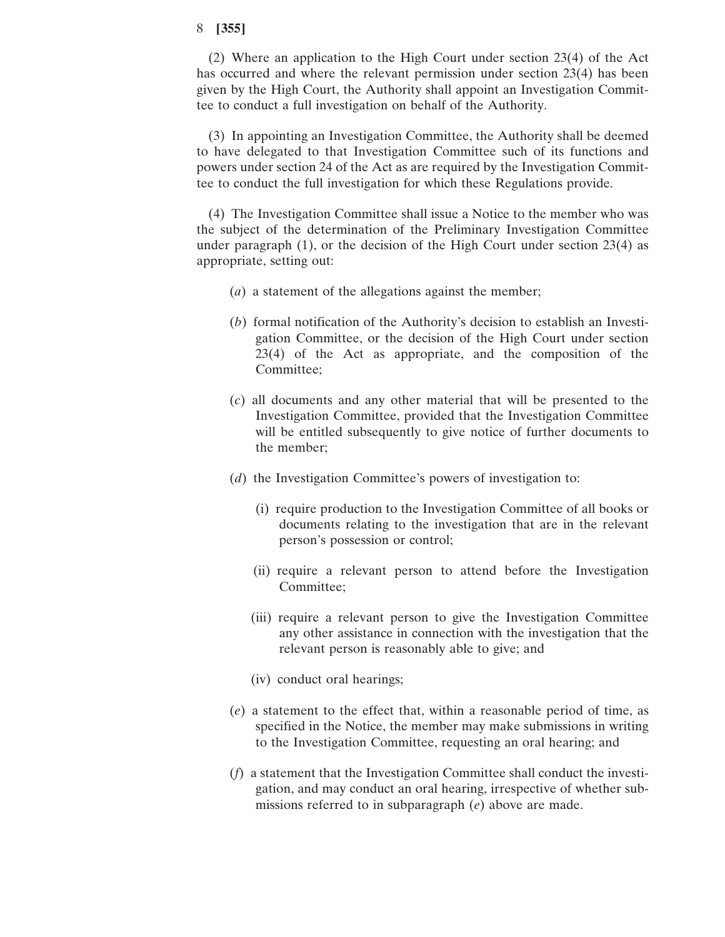(2) Where an application to the High Court under section 23(4) of the Act has occurred and where the relevant permission under section 23(4) has been given by the High Court, the Authority shall appoint an Investigation Committee to conduct a full investigation on behalf of the Authority.

(3) In appointing an Investigation Committee, the Authority shall be deemed to have delegated to that Investigation Committee such of its functions and powers under section 24 of the Act as are required by the Investigation Committee to conduct the full investigation for which these Regulations provide.

(4) The Investigation Committee shall issue a Notice to the member who was the subject of the determination of the Preliminary Investigation Committee under paragraph (1), or the decision of the High Court under section 23(4) as appropriate, setting out:

- (*a*) a statement of the allegations against the member;
- (*b*) formal notification of the Authority's decision to establish an Investigation Committee, or the decision of the High Court under section 23(4) of the Act as appropriate, and the composition of the Committee;
- (*c*) all documents and any other material that will be presented to the Investigation Committee, provided that the Investigation Committee will be entitled subsequently to give notice of further documents to the member;
- (*d*) the Investigation Committee's powers of investigation to:
	- (i) require production to the Investigation Committee of all books or documents relating to the investigation that are in the relevant person's possession or control;
	- (ii) require a relevant person to attend before the Investigation Committee;
	- (iii) require a relevant person to give the Investigation Committee any other assistance in connection with the investigation that the relevant person is reasonably able to give; and
	- (iv) conduct oral hearings;
- (*e*) a statement to the effect that, within a reasonable period of time, as specified in the Notice, the member may make submissions in writing to the Investigation Committee, requesting an oral hearing; and
- (*f*) a statement that the Investigation Committee shall conduct the investigation, and may conduct an oral hearing, irrespective of whether submissions referred to in subparagraph (*e*) above are made.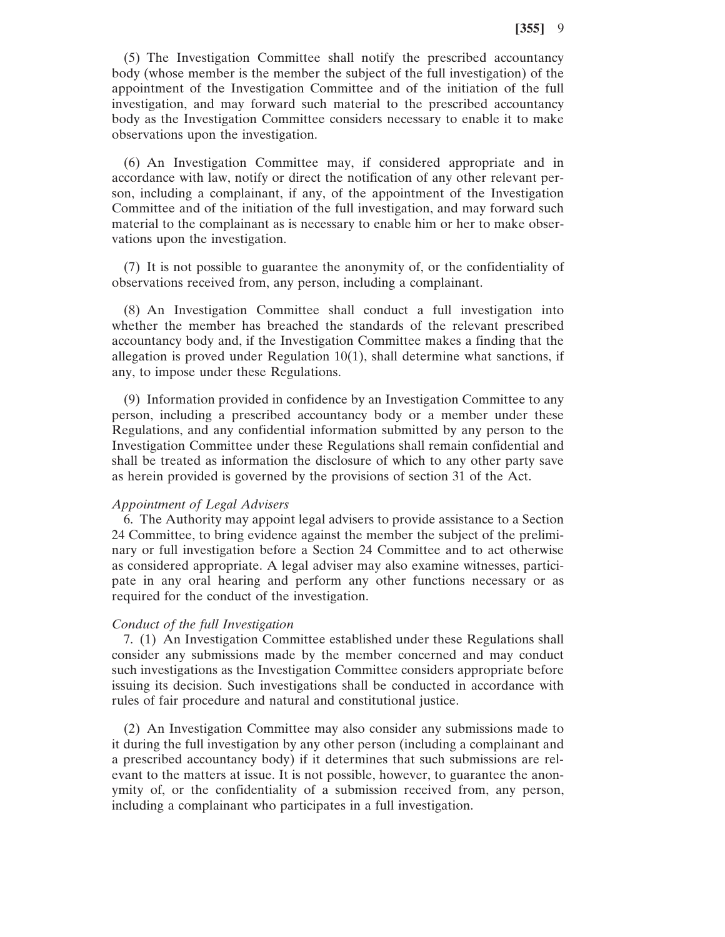(5) The Investigation Committee shall notify the prescribed accountancy body (whose member is the member the subject of the full investigation) of the appointment of the Investigation Committee and of the initiation of the full investigation, and may forward such material to the prescribed accountancy body as the Investigation Committee considers necessary to enable it to make observations upon the investigation.

(6) An Investigation Committee may, if considered appropriate and in accordance with law, notify or direct the notification of any other relevant person, including a complainant, if any, of the appointment of the Investigation Committee and of the initiation of the full investigation, and may forward such material to the complainant as is necessary to enable him or her to make observations upon the investigation.

(7) It is not possible to guarantee the anonymity of, or the confidentiality of observations received from, any person, including a complainant.

(8) An Investigation Committee shall conduct a full investigation into whether the member has breached the standards of the relevant prescribed accountancy body and, if the Investigation Committee makes a finding that the allegation is proved under Regulation  $10(1)$ , shall determine what sanctions, if any, to impose under these Regulations.

(9) Information provided in confidence by an Investigation Committee to any person, including a prescribed accountancy body or a member under these Regulations, and any confidential information submitted by any person to the Investigation Committee under these Regulations shall remain confidential and shall be treated as information the disclosure of which to any other party save as herein provided is governed by the provisions of section 31 of the Act.

#### *Appointment of Legal Advisers*

6. The Authority may appoint legal advisers to provide assistance to a Section 24 Committee, to bring evidence against the member the subject of the preliminary or full investigation before a Section 24 Committee and to act otherwise as considered appropriate. A legal adviser may also examine witnesses, participate in any oral hearing and perform any other functions necessary or as required for the conduct of the investigation.

#### *Conduct of the full Investigation*

7. (1) An Investigation Committee established under these Regulations shall consider any submissions made by the member concerned and may conduct such investigations as the Investigation Committee considers appropriate before issuing its decision. Such investigations shall be conducted in accordance with rules of fair procedure and natural and constitutional justice.

(2) An Investigation Committee may also consider any submissions made to it during the full investigation by any other person (including a complainant and a prescribed accountancy body) if it determines that such submissions are relevant to the matters at issue. It is not possible, however, to guarantee the anonymity of, or the confidentiality of a submission received from, any person, including a complainant who participates in a full investigation.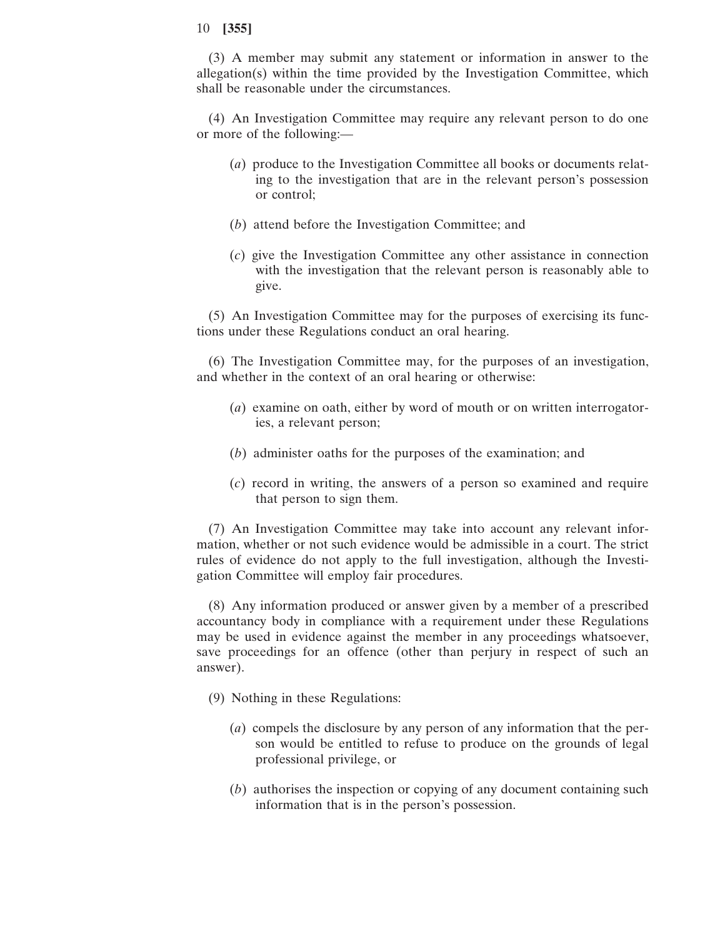(3) A member may submit any statement or information in answer to the allegation(s) within the time provided by the Investigation Committee, which shall be reasonable under the circumstances.

(4) An Investigation Committee may require any relevant person to do one or more of the following:—

- (*a*) produce to the Investigation Committee all books or documents relating to the investigation that are in the relevant person's possession or control;
- (*b*) attend before the Investigation Committee; and
- (*c*) give the Investigation Committee any other assistance in connection with the investigation that the relevant person is reasonably able to give.

(5) An Investigation Committee may for the purposes of exercising its functions under these Regulations conduct an oral hearing.

(6) The Investigation Committee may, for the purposes of an investigation, and whether in the context of an oral hearing or otherwise:

- (*a*) examine on oath, either by word of mouth or on written interrogatories, a relevant person;
- (*b*) administer oaths for the purposes of the examination; and
- (*c*) record in writing, the answers of a person so examined and require that person to sign them.

(7) An Investigation Committee may take into account any relevant information, whether or not such evidence would be admissible in a court. The strict rules of evidence do not apply to the full investigation, although the Investigation Committee will employ fair procedures.

(8) Any information produced or answer given by a member of a prescribed accountancy body in compliance with a requirement under these Regulations may be used in evidence against the member in any proceedings whatsoever, save proceedings for an offence (other than perjury in respect of such an answer).

- (9) Nothing in these Regulations:
	- (*a*) compels the disclosure by any person of any information that the person would be entitled to refuse to produce on the grounds of legal professional privilege, or
	- (*b*) authorises the inspection or copying of any document containing such information that is in the person's possession.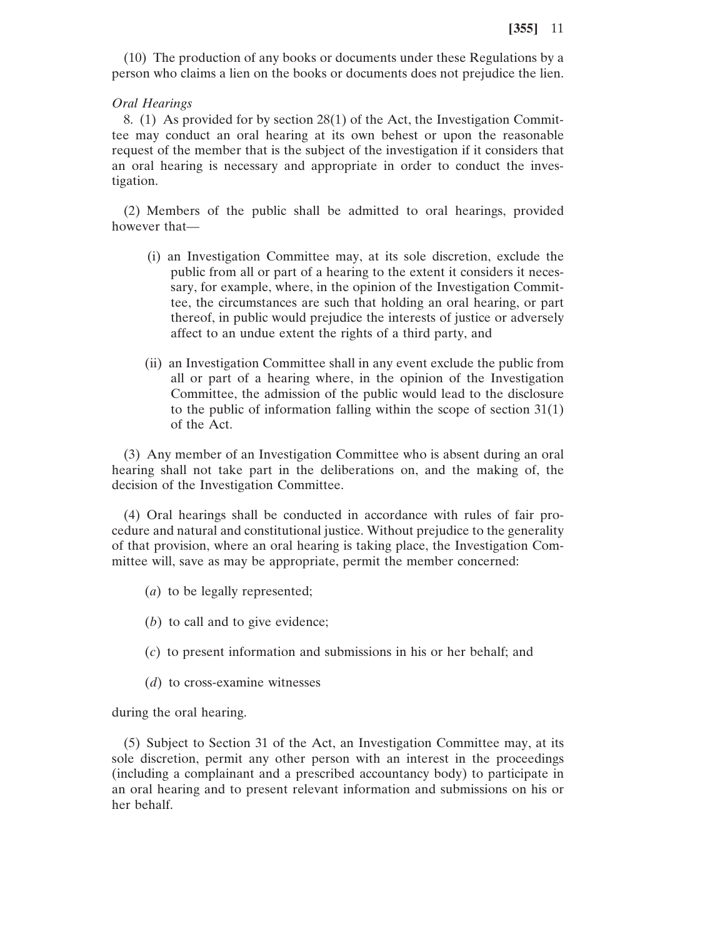(10) The production of any books or documents under these Regulations by a person who claims a lien on the books or documents does not prejudice the lien.

## *Oral Hearings*

8. (1) As provided for by section 28(1) of the Act, the Investigation Committee may conduct an oral hearing at its own behest or upon the reasonable request of the member that is the subject of the investigation if it considers that an oral hearing is necessary and appropriate in order to conduct the investigation.

(2) Members of the public shall be admitted to oral hearings, provided however that—

- (i) an Investigation Committee may, at its sole discretion, exclude the public from all or part of a hearing to the extent it considers it necessary, for example, where, in the opinion of the Investigation Committee, the circumstances are such that holding an oral hearing, or part thereof, in public would prejudice the interests of justice or adversely affect to an undue extent the rights of a third party, and
- (ii) an Investigation Committee shall in any event exclude the public from all or part of a hearing where, in the opinion of the Investigation Committee, the admission of the public would lead to the disclosure to the public of information falling within the scope of section 31(1) of the Act.

(3) Any member of an Investigation Committee who is absent during an oral hearing shall not take part in the deliberations on, and the making of, the decision of the Investigation Committee.

(4) Oral hearings shall be conducted in accordance with rules of fair procedure and natural and constitutional justice. Without prejudice to the generality of that provision, where an oral hearing is taking place, the Investigation Committee will, save as may be appropriate, permit the member concerned:

- (*a*) to be legally represented;
- (*b*) to call and to give evidence;
- (*c*) to present information and submissions in his or her behalf; and
- (*d*) to cross-examine witnesses

during the oral hearing.

(5) Subject to Section 31 of the Act, an Investigation Committee may, at its sole discretion, permit any other person with an interest in the proceedings (including a complainant and a prescribed accountancy body) to participate in an oral hearing and to present relevant information and submissions on his or her behalf.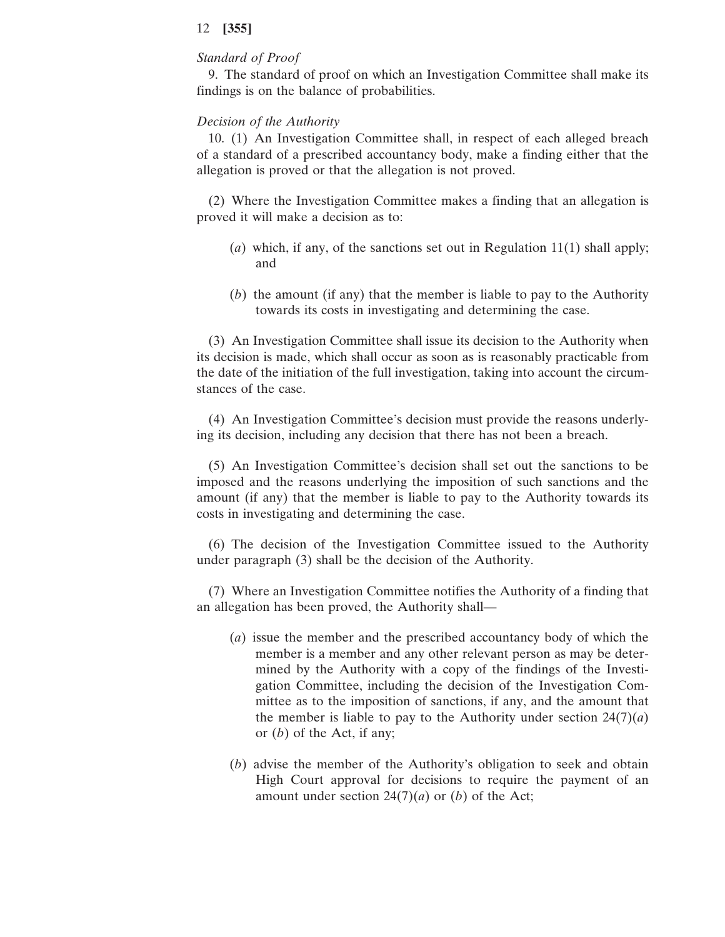## *Standard of Proof*

9. The standard of proof on which an Investigation Committee shall make its findings is on the balance of probabilities.

## *Decision of the Authority*

10. (1) An Investigation Committee shall, in respect of each alleged breach of a standard of a prescribed accountancy body, make a finding either that the allegation is proved or that the allegation is not proved.

(2) Where the Investigation Committee makes a finding that an allegation is proved it will make a decision as to:

- (*a*) which, if any, of the sanctions set out in Regulation 11(1) shall apply; and
- (*b*) the amount (if any) that the member is liable to pay to the Authority towards its costs in investigating and determining the case.

(3) An Investigation Committee shall issue its decision to the Authority when its decision is made, which shall occur as soon as is reasonably practicable from the date of the initiation of the full investigation, taking into account the circumstances of the case.

(4) An Investigation Committee's decision must provide the reasons underlying its decision, including any decision that there has not been a breach.

(5) An Investigation Committee's decision shall set out the sanctions to be imposed and the reasons underlying the imposition of such sanctions and the amount (if any) that the member is liable to pay to the Authority towards its costs in investigating and determining the case.

(6) The decision of the Investigation Committee issued to the Authority under paragraph (3) shall be the decision of the Authority.

(7) Where an Investigation Committee notifies the Authority of a finding that an allegation has been proved, the Authority shall—

- (*a*) issue the member and the prescribed accountancy body of which the member is a member and any other relevant person as may be determined by the Authority with a copy of the findings of the Investigation Committee, including the decision of the Investigation Committee as to the imposition of sanctions, if any, and the amount that the member is liable to pay to the Authority under section  $24(7)(a)$ or (*b*) of the Act, if any;
- (*b*) advise the member of the Authority's obligation to seek and obtain High Court approval for decisions to require the payment of an amount under section  $24(7)(a)$  or (*b*) of the Act;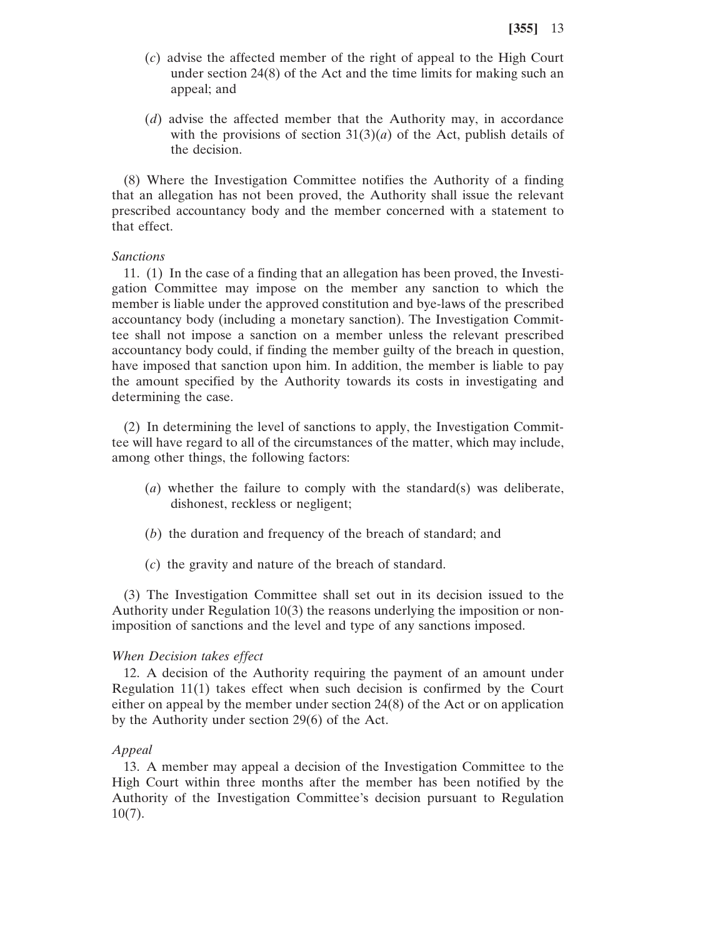- (*c*) advise the affected member of the right of appeal to the High Court under section 24(8) of the Act and the time limits for making such an appeal; and
- (*d*) advise the affected member that the Authority may, in accordance with the provisions of section  $31(3)(a)$  of the Act, publish details of the decision.

(8) Where the Investigation Committee notifies the Authority of a finding that an allegation has not been proved, the Authority shall issue the relevant prescribed accountancy body and the member concerned with a statement to that effect.

## *Sanctions*

11. (1) In the case of a finding that an allegation has been proved, the Investigation Committee may impose on the member any sanction to which the member is liable under the approved constitution and bye-laws of the prescribed accountancy body (including a monetary sanction). The Investigation Committee shall not impose a sanction on a member unless the relevant prescribed accountancy body could, if finding the member guilty of the breach in question, have imposed that sanction upon him. In addition, the member is liable to pay the amount specified by the Authority towards its costs in investigating and determining the case.

(2) In determining the level of sanctions to apply, the Investigation Committee will have regard to all of the circumstances of the matter, which may include, among other things, the following factors:

- (*a*) whether the failure to comply with the standard(s) was deliberate, dishonest, reckless or negligent;
- (*b*) the duration and frequency of the breach of standard; and
- (*c*) the gravity and nature of the breach of standard.

(3) The Investigation Committee shall set out in its decision issued to the Authority under Regulation 10(3) the reasons underlying the imposition or nonimposition of sanctions and the level and type of any sanctions imposed.

#### *When Decision takes effect*

12. A decision of the Authority requiring the payment of an amount under Regulation 11(1) takes effect when such decision is confirmed by the Court either on appeal by the member under section 24(8) of the Act or on application by the Authority under section 29(6) of the Act.

#### *Appeal*

13. A member may appeal a decision of the Investigation Committee to the High Court within three months after the member has been notified by the Authority of the Investigation Committee's decision pursuant to Regulation  $10(7)$ .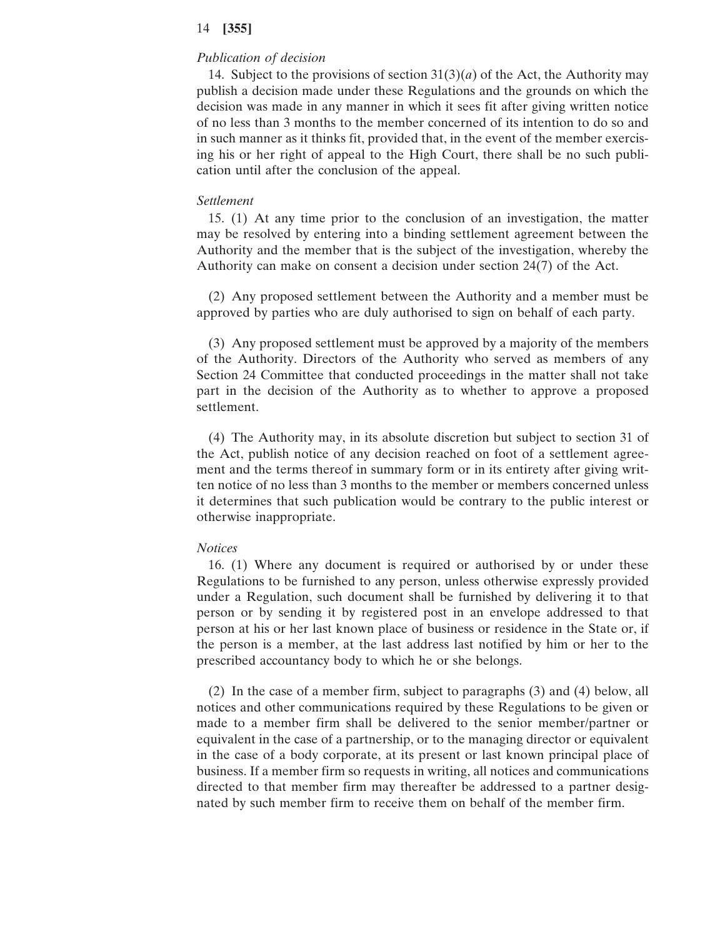## *Publication of decision*

14. Subject to the provisions of section  $31(3)(a)$  of the Act, the Authority may publish a decision made under these Regulations and the grounds on which the decision was made in any manner in which it sees fit after giving written notice of no less than 3 months to the member concerned of its intention to do so and in such manner as it thinks fit, provided that, in the event of the member exercising his or her right of appeal to the High Court, there shall be no such publication until after the conclusion of the appeal.

#### *Settlement*

15. (1) At any time prior to the conclusion of an investigation, the matter may be resolved by entering into a binding settlement agreement between the Authority and the member that is the subject of the investigation, whereby the Authority can make on consent a decision under section 24(7) of the Act.

(2) Any proposed settlement between the Authority and a member must be approved by parties who are duly authorised to sign on behalf of each party.

(3) Any proposed settlement must be approved by a majority of the members of the Authority. Directors of the Authority who served as members of any Section 24 Committee that conducted proceedings in the matter shall not take part in the decision of the Authority as to whether to approve a proposed settlement.

(4) The Authority may, in its absolute discretion but subject to section 31 of the Act, publish notice of any decision reached on foot of a settlement agreement and the terms thereof in summary form or in its entirety after giving written notice of no less than 3 months to the member or members concerned unless it determines that such publication would be contrary to the public interest or otherwise inappropriate.

#### *Notices*

16. (1) Where any document is required or authorised by or under these Regulations to be furnished to any person, unless otherwise expressly provided under a Regulation, such document shall be furnished by delivering it to that person or by sending it by registered post in an envelope addressed to that person at his or her last known place of business or residence in the State or, if the person is a member, at the last address last notified by him or her to the prescribed accountancy body to which he or she belongs.

(2) In the case of a member firm, subject to paragraphs (3) and (4) below, all notices and other communications required by these Regulations to be given or made to a member firm shall be delivered to the senior member/partner or equivalent in the case of a partnership, or to the managing director or equivalent in the case of a body corporate, at its present or last known principal place of business. If a member firm so requests in writing, all notices and communications directed to that member firm may thereafter be addressed to a partner designated by such member firm to receive them on behalf of the member firm.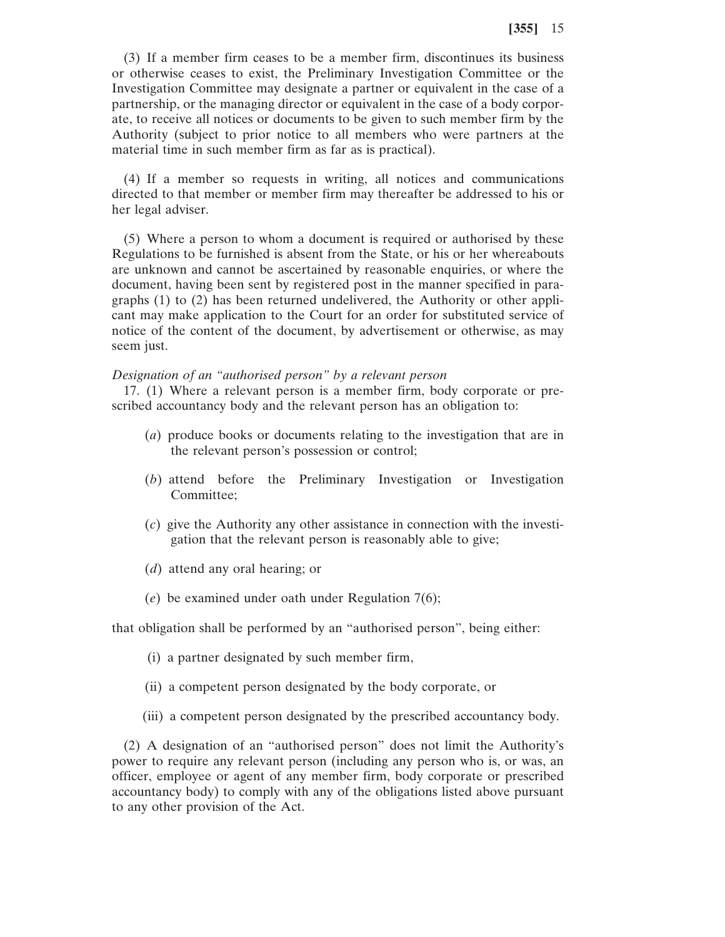(3) If a member firm ceases to be a member firm, discontinues its business or otherwise ceases to exist, the Preliminary Investigation Committee or the Investigation Committee may designate a partner or equivalent in the case of a partnership, or the managing director or equivalent in the case of a body corporate, to receive all notices or documents to be given to such member firm by the Authority (subject to prior notice to all members who were partners at the material time in such member firm as far as is practical).

(4) If a member so requests in writing, all notices and communications directed to that member or member firm may thereafter be addressed to his or her legal adviser.

(5) Where a person to whom a document is required or authorised by these Regulations to be furnished is absent from the State, or his or her whereabouts are unknown and cannot be ascertained by reasonable enquiries, or where the document, having been sent by registered post in the manner specified in paragraphs (1) to (2) has been returned undelivered, the Authority or other applicant may make application to the Court for an order for substituted service of notice of the content of the document, by advertisement or otherwise, as may seem just.

#### *Designation of an "authorised person" by a relevant person*

17. (1) Where a relevant person is a member firm, body corporate or prescribed accountancy body and the relevant person has an obligation to:

- (*a*) produce books or documents relating to the investigation that are in the relevant person's possession or control;
- (*b*) attend before the Preliminary Investigation or Investigation Committee;
- (*c*) give the Authority any other assistance in connection with the investigation that the relevant person is reasonably able to give;
- (*d*) attend any oral hearing; or
- (*e*) be examined under oath under Regulation 7(6);

that obligation shall be performed by an "authorised person", being either:

- (i) a partner designated by such member firm,
- (ii) a competent person designated by the body corporate, or
- (iii) a competent person designated by the prescribed accountancy body.

(2) A designation of an "authorised person" does not limit the Authority's power to require any relevant person (including any person who is, or was, an officer, employee or agent of any member firm, body corporate or prescribed accountancy body) to comply with any of the obligations listed above pursuant to any other provision of the Act.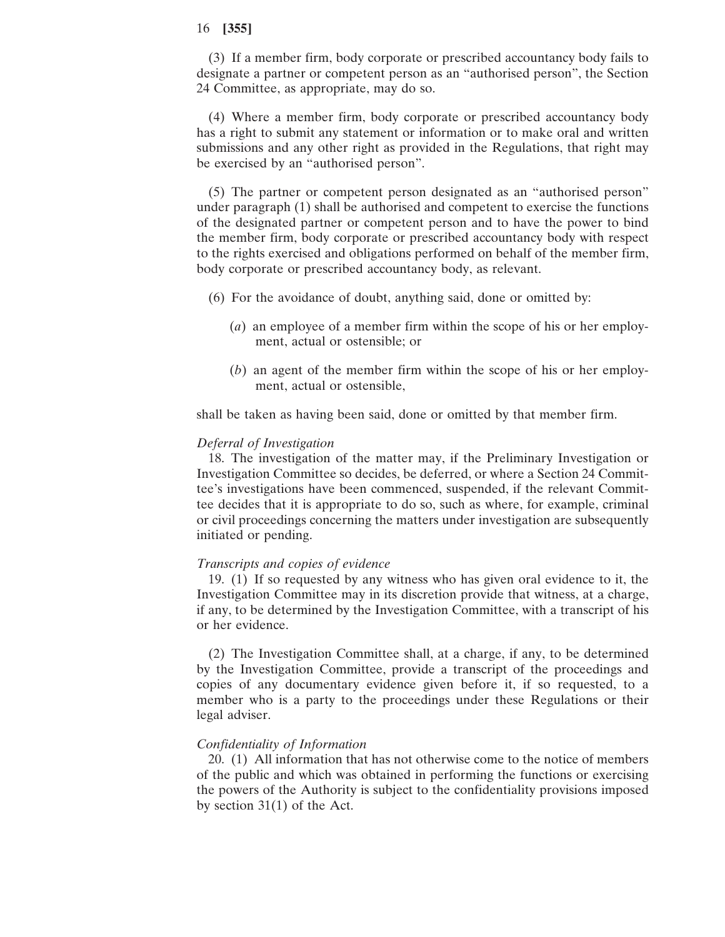(3) If a member firm, body corporate or prescribed accountancy body fails to designate a partner or competent person as an "authorised person", the Section 24 Committee, as appropriate, may do so.

(4) Where a member firm, body corporate or prescribed accountancy body has a right to submit any statement or information or to make oral and written submissions and any other right as provided in the Regulations, that right may be exercised by an "authorised person".

(5) The partner or competent person designated as an "authorised person" under paragraph (1) shall be authorised and competent to exercise the functions of the designated partner or competent person and to have the power to bind the member firm, body corporate or prescribed accountancy body with respect to the rights exercised and obligations performed on behalf of the member firm, body corporate or prescribed accountancy body, as relevant.

- (6) For the avoidance of doubt, anything said, done or omitted by:
	- (*a*) an employee of a member firm within the scope of his or her employment, actual or ostensible; or
	- (*b*) an agent of the member firm within the scope of his or her employment, actual or ostensible,

shall be taken as having been said, done or omitted by that member firm.

#### *Deferral of Investigation*

18. The investigation of the matter may, if the Preliminary Investigation or Investigation Committee so decides, be deferred, or where a Section 24 Committee's investigations have been commenced, suspended, if the relevant Committee decides that it is appropriate to do so, such as where, for example, criminal or civil proceedings concerning the matters under investigation are subsequently initiated or pending.

#### *Transcripts and copies of evidence*

19. (1) If so requested by any witness who has given oral evidence to it, the Investigation Committee may in its discretion provide that witness, at a charge, if any, to be determined by the Investigation Committee, with a transcript of his or her evidence.

(2) The Investigation Committee shall, at a charge, if any, to be determined by the Investigation Committee, provide a transcript of the proceedings and copies of any documentary evidence given before it, if so requested, to a member who is a party to the proceedings under these Regulations or their legal adviser.

## *Confidentiality of Information*

20. (1) All information that has not otherwise come to the notice of members of the public and which was obtained in performing the functions or exercising the powers of the Authority is subject to the confidentiality provisions imposed by section 31(1) of the Act.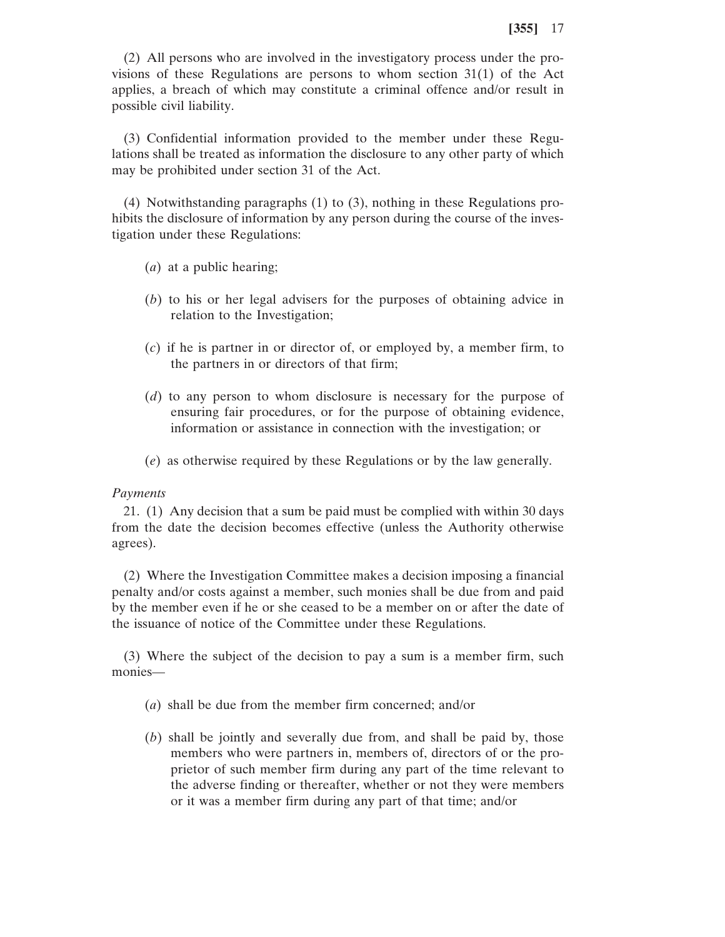(2) All persons who are involved in the investigatory process under the provisions of these Regulations are persons to whom section 31(1) of the Act applies, a breach of which may constitute a criminal offence and/or result in possible civil liability.

(3) Confidential information provided to the member under these Regulations shall be treated as information the disclosure to any other party of which may be prohibited under section 31 of the Act.

(4) Notwithstanding paragraphs (1) to (3), nothing in these Regulations prohibits the disclosure of information by any person during the course of the investigation under these Regulations:

- (*a*) at a public hearing;
- (*b*) to his or her legal advisers for the purposes of obtaining advice in relation to the Investigation;
- (*c*) if he is partner in or director of, or employed by, a member firm, to the partners in or directors of that firm;
- (*d*) to any person to whom disclosure is necessary for the purpose of ensuring fair procedures, or for the purpose of obtaining evidence, information or assistance in connection with the investigation; or
- (*e*) as otherwise required by these Regulations or by the law generally.

## *Payments*

21. (1) Any decision that a sum be paid must be complied with within 30 days from the date the decision becomes effective (unless the Authority otherwise agrees).

(2) Where the Investigation Committee makes a decision imposing a financial penalty and/or costs against a member, such monies shall be due from and paid by the member even if he or she ceased to be a member on or after the date of the issuance of notice of the Committee under these Regulations.

(3) Where the subject of the decision to pay a sum is a member firm, such monies—

- (*a*) shall be due from the member firm concerned; and/or
- (*b*) shall be jointly and severally due from, and shall be paid by, those members who were partners in, members of, directors of or the proprietor of such member firm during any part of the time relevant to the adverse finding or thereafter, whether or not they were members or it was a member firm during any part of that time; and/or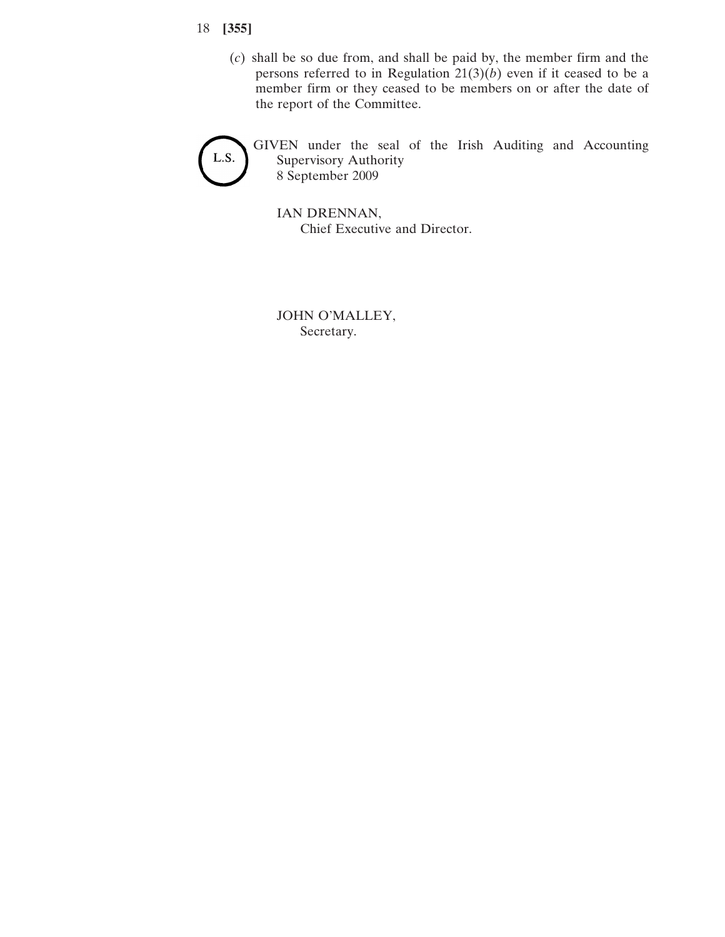- 18 **[355]**
	- (*c*) shall be so due from, and shall be paid by, the member firm and the persons referred to in Regulation  $21(3)(b)$  even if it ceased to be a member firm or they ceased to be members on or after the date of the report of the Committee.



GIVEN under the seal of the Irish Auditing and Accounting Supervisory Authority 8 September 2009

IAN DRENNAN, Chief Executive and Director.

JOHN O'MALLEY, Secretary.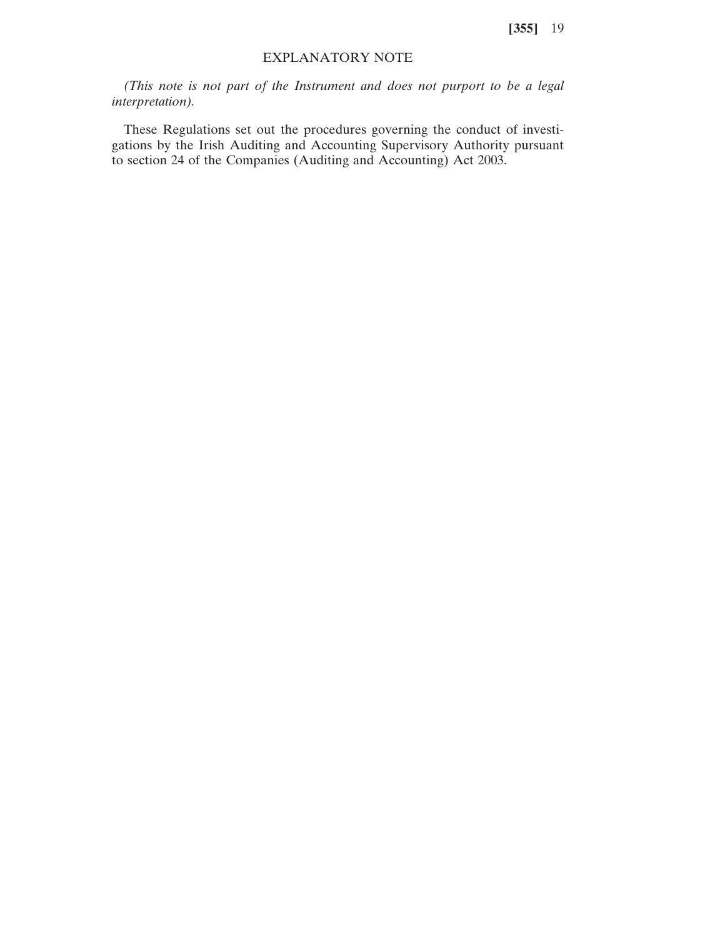## EXPLANATORY NOTE

*(This note is not part of the Instrument and does not purport to be a legal interpretation).*

These Regulations set out the procedures governing the conduct of investigations by the Irish Auditing and Accounting Supervisory Authority pursuant to section 24 of the Companies (Auditing and Accounting) Act 2003.